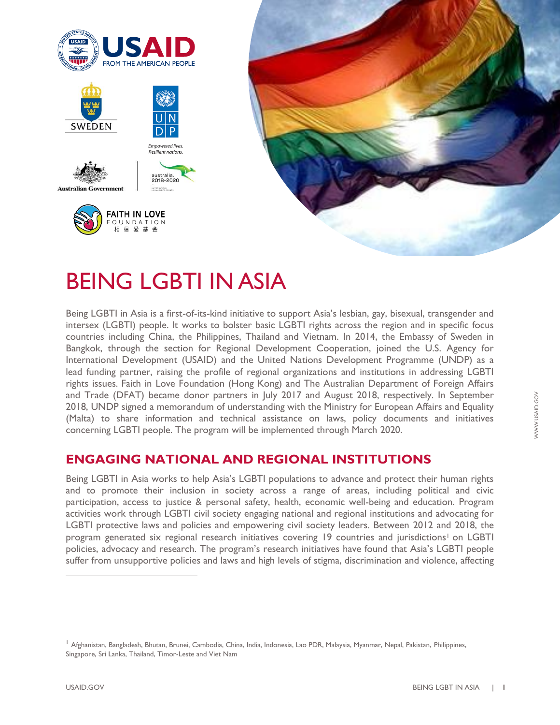

# BEING LGBTI IN ASIA

Being LGBTI in Asia is a first-of-its-kind initiative to support Asia's lesbian, gay, bisexual, transgender and intersex (LGBTI) people. It works to bolster basic LGBTI rights across the region and in specific focus countries including China, the Philippines, Thailand and Vietnam. In 2014, the Embassy of Sweden in Bangkok, through the section for Regional Development Cooperation, joined the U.S. Agency for International Development (USAID) and the United Nations Development Programme (UNDP) as a lead funding partner, raising the profile of regional organizations and institutions in addressing LGBTI rights issues. Faith in Love Foundation (Hong Kong) and The Australian Department of Foreign Affairs and Trade (DFAT) became donor partners in July 2017 and August 2018, respectively. In September 2018, UNDP signed a memorandum of understanding with the Ministry for European Affairs and Equality (Malta) to share information and technical assistance on laws, policy documents and initiatives concerning LGBTI people. The program will be implemented through March 2020.

## **ENGAGING NATIONAL AND REGIONAL INSTITUTIONS**

Being LGBTI in Asia works to help Asia's LGBTI populations to advance and protect their human rights and to promote their inclusion in society across a range of areas, including political and civic participation, access to justice & personal safety, health, economic well-being and education. Program activities work through LGBTI civil society engaging national and regional institutions and advocating for LGBTI protective laws and policies and empowering civil society leaders. Between 2012 and 2018, the program generated six regional research initiatives covering 19 countries and jurisdictions<sup>1</sup> on LGBTI policies, advocacy and research. The program's research initiatives have found that Asia's LGBTI people suffer from unsupportive policies and laws and high levels of stigma, discrimination and violence, affecting

<sup>&</sup>lt;sup>1</sup> Afghanistan, Bangladesh, Bhutan, Brunei, Cambodia, China, India, Indonesia, Lao PDR, Malaysia, Myanmar, Nepal, Pakistan, Philippines, Singapore, Sri Lanka, Thailand, Timor-Leste and Viet Nam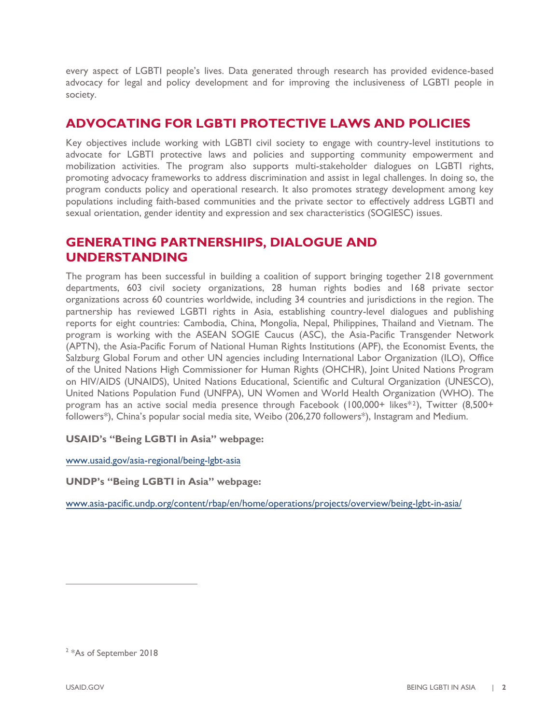every aspect of LGBTI people's lives. Data generated through research has provided evidence-based advocacy for legal and policy development and for improving the inclusiveness of LGBTI people in society.

### **ADVOCATING FOR LGBTI PROTECTIVE LAWS AND POLICIES**

Key objectives include working with LGBTI civil society to engage with country-level institutions to advocate for LGBTI protective laws and policies and supporting community empowerment and mobilization activities. The program also supports multi-stakeholder dialogues on LGBTI rights, promoting advocacy frameworks to address discrimination and assist in legal challenges. In doing so, the program conducts policy and operational research. It also promotes strategy development among key populations including faith-based communities and the private sector to effectively address LGBTI and sexual orientation, gender identity and expression and sex characteristics (SOGIESC) issues.

### **GENERATING PARTNERSHIPS, DIALOGUE AND UNDERSTANDING**

The program has been successful in building a coalition of support bringing together 218 government departments, 603 civil society organizations, 28 human rights bodies and 168 private sector organizations across 60 countries worldwide, including 34 countries and jurisdictions in the region. The partnership has reviewed LGBTI rights in Asia, establishing country-level dialogues and publishing reports for eight countries: Cambodia, China, Mongolia, Nepal, Philippines, Thailand and Vietnam. The program is working with the ASEAN SOGIE Caucus (ASC), the Asia-Pacific Transgender Network (APTN), the Asia-Pacific Forum of National Human Rights Institutions (APF), the Economist Events, the Salzburg Global Forum and other UN agencies including International Labor Organization (ILO), Office of the United Nations High Commissioner for Human Rights (OHCHR), Joint United Nations Program on HIV/AIDS (UNAIDS), United Nations Educational, Scientific and Cultural Organization (UNESCO), United Nations Population Fund (UNFPA), UN Women and World Health Organization (WHO). The program has an active social media presence through Facebook (100,000+ likes\* <sup>2</sup>), Twitter (8,500+ followers\*), China's popular social media site, Weibo (206,270 followers\*), Instagram and Medium.

#### **USAID's "Being LGBTI in Asia" webpage:**

[www.usaid.gov/](https://www.usaid.gov/asia-regional/being-lgbt-asia)asia-regional/being-lgbt-asia

**UNDP's "Being LGBTI in Asia" webpage:**

[www.asia-pacific.undp.org/content/rbap/en/home/operations/projects/overview/being-lgbt-in-asia/](http://www.asia-pacific.undp.org/content/rbap/en/home/operations/projects/overview/being-lgbt-in-asia/)

<sup>&</sup>lt;sup>2</sup> \*As of September 2018